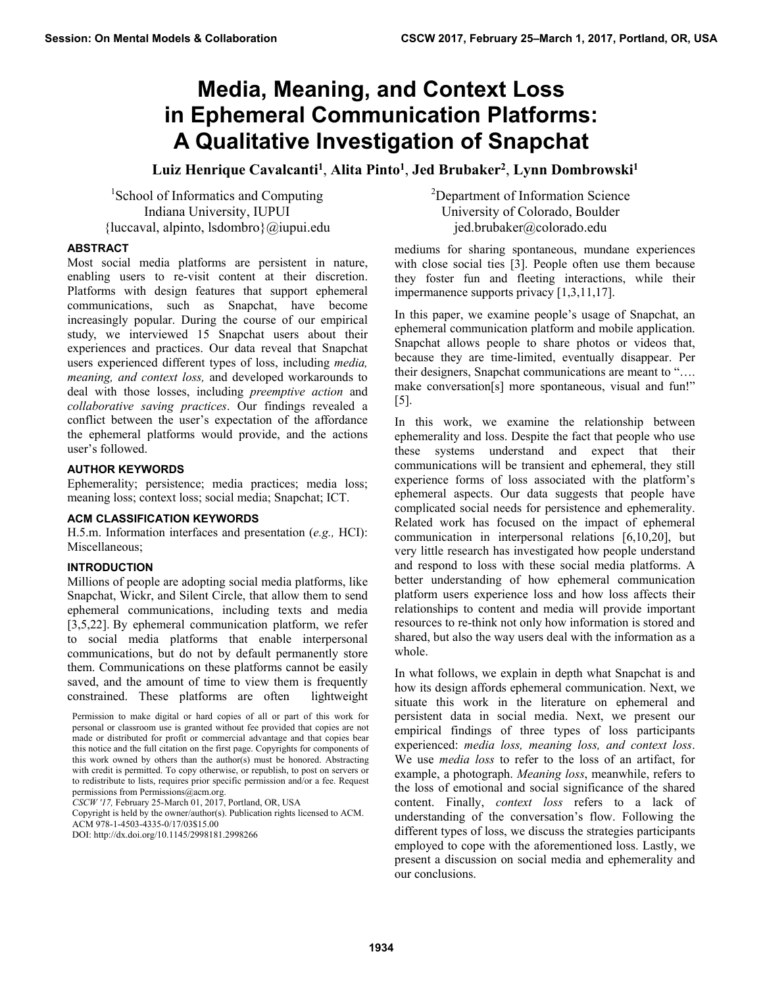# **Media, Meaning, and Context Loss in Ephemeral Communication Platforms: A Qualitative Investigation of Snapchat**

Luiz Henrique Cavalcanti<sup>1</sup>, Alita Pinto<sup>1</sup>, Jed Brubaker<sup>2</sup>, Lynn Dombrowski<sup>1</sup>

<sup>1</sup>School of Informatics and Computing Indiana University, IUPUI {luccaval, alpinto, lsdombro}@iupui.edu

## **ABSTRACT**

Most social media platforms are persistent in nature, enabling users to re-visit content at their discretion. Platforms with design features that support ephemeral communications, such as Snapchat, have become increasingly popular. During the course of our empirical study, we interviewed 15 Snapchat users about their experiences and practices. Our data reveal that Snapchat users experienced different types of loss, including *media, meaning, and context loss,* and developed workarounds to deal with those losses, including *preemptive action* and *collaborative saving practices*. Our findings revealed a conflict between the user's expectation of the affordance the ephemeral platforms would provide, and the actions user's followed.

### **AUTHOR KEYWORDS**

Ephemerality; persistence; media practices; media loss; meaning loss; context loss; social media; Snapchat; ICT.

#### **ACM CLASSIFICATION KEYWORDS**

H.5.m. Information interfaces and presentation (*e.g.,* HCI): Miscellaneous;

# **INTRODUCTION**

Millions of people are adopting social media platforms, like Snapchat, Wickr, and Silent Circle, that allow them to send ephemeral communications, including texts and media [3,5,22]. By ephemeral communication platform, we refer to social media platforms that enable interpersonal communications, but do not by default permanently store them. Communications on these platforms cannot be easily saved, and the amount of time to view them is frequently constrained. These platforms are often lightweight

*CSCW '17,* February 25-March 01, 2017, Portland, OR, USA

Copyright is held by the owner/author(s). Publication rights licensed to ACM. ACM 978-1-4503-4335-0/17/03\$15.00

<sup>2</sup>Department of Information Science University of Colorado, Boulder jed.brubaker@colorado.edu

mediums for sharing spontaneous, mundane experiences with close social ties [3]. People often use them because they foster fun and fleeting interactions, while their impermanence supports privacy [1,3,11,17].

In this paper, we examine people's usage of Snapchat, an ephemeral communication platform and mobile application. Snapchat allows people to share photos or videos that, because they are time-limited, eventually disappear. Per their designers, Snapchat communications are meant to "…. make conversation[s] more spontaneous, visual and fun!" [5].

In this work, we examine the relationship between ephemerality and loss. Despite the fact that people who use these systems understand and expect that their communications will be transient and ephemeral, they still experience forms of loss associated with the platform's ephemeral aspects. Our data suggests that people have complicated social needs for persistence and ephemerality. Related work has focused on the impact of ephemeral communication in interpersonal relations [6,10,20], but very little research has investigated how people understand and respond to loss with these social media platforms. A better understanding of how ephemeral communication platform users experience loss and how loss affects their relationships to content and media will provide important resources to re-think not only how information is stored and shared, but also the way users deal with the information as a whole.

In what follows, we explain in depth what Snapchat is and how its design affords ephemeral communication. Next, we situate this work in the literature on ephemeral and persistent data in social media. Next, we present our empirical findings of three types of loss participants experienced: *media loss, meaning loss, and context loss*. We use *media loss* to refer to the loss of an artifact, for example, a photograph. *Meaning loss*, meanwhile, refers to the loss of emotional and social significance of the shared content. Finally, *context loss* refers to a lack of understanding of the conversation's flow. Following the different types of loss, we discuss the strategies participants employed to cope with the aforementioned loss. Lastly, we present a discussion on social media and ephemerality and our conclusions.

Permission to make digital or hard copies of all or part of this work for personal or classroom use is granted without fee provided that copies are not made or distributed for profit or commercial advantage and that copies bear this notice and the full citation on the first page. Copyrights for components of this work owned by others than the author(s) must be honored. Abstracting with credit is permitted. To copy otherwise, or republish, to post on servers or to redistribute to lists, requires prior specific permission and/or a fee. Request permissions from Permissions@acm.org.

DOI: http://dx.doi.org/10.1145/2998181.2998266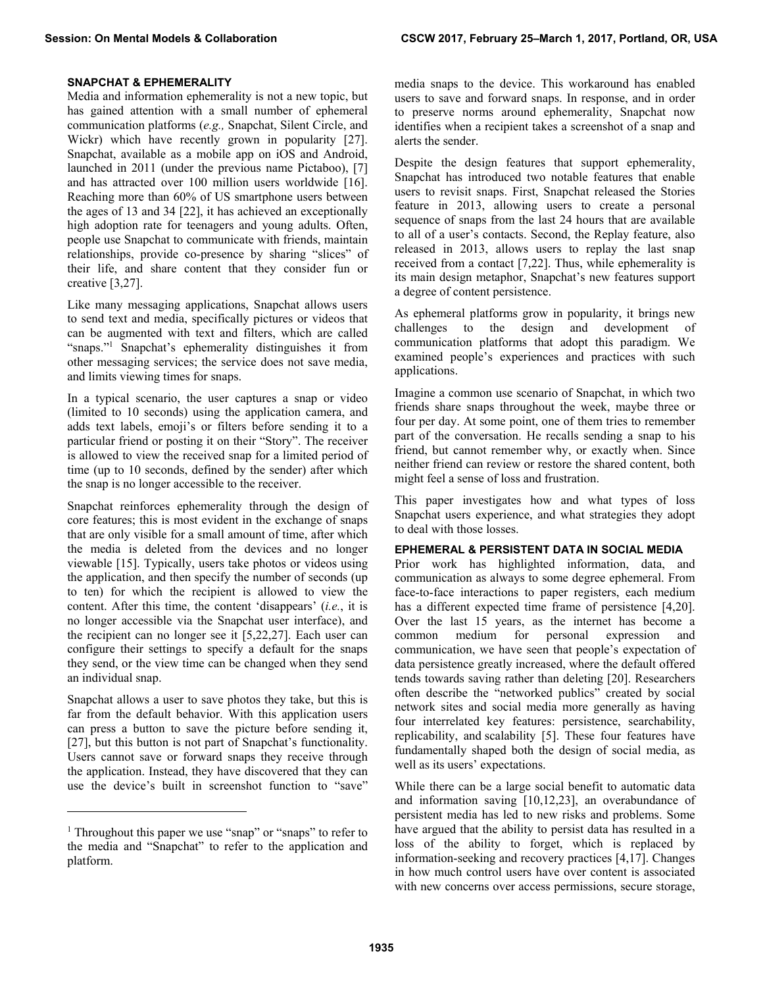# **SNAPCHAT & EPHEMERALITY**

Media and information ephemerality is not a new topic, but has gained attention with a small number of ephemeral communication platforms (*e.g.,* Snapchat, Silent Circle, and Wickr) which have recently grown in popularity [27]. Snapchat, available as a mobile app on iOS and Android, launched in 2011 (under the previous name Pictaboo), [7] and has attracted over 100 million users worldwide [16]. Reaching more than 60% of US smartphone users between the ages of 13 and 34 [22], it has achieved an exceptionally high adoption rate for teenagers and young adults. Often, people use Snapchat to communicate with friends, maintain relationships, provide co-presence by sharing "slices" of their life, and share content that they consider fun or creative [3,27].

Like many messaging applications, Snapchat allows users to send text and media, specifically pictures or videos that can be augmented with text and filters, which are called "snaps."<sup>1</sup> Snapchat's ephemerality distinguishes it from other messaging services; the service does not save media, and limits viewing times for snaps.

In a typical scenario, the user captures a snap or video (limited to 10 seconds) using the application camera, and adds text labels, emoji's or filters before sending it to a particular friend or posting it on their "Story". The receiver is allowed to view the received snap for a limited period of time (up to 10 seconds, defined by the sender) after which the snap is no longer accessible to the receiver.

Snapchat reinforces ephemerality through the design of core features; this is most evident in the exchange of snaps that are only visible for a small amount of time, after which the media is deleted from the devices and no longer viewable [15]. Typically, users take photos or videos using the application, and then specify the number of seconds (up to ten) for which the recipient is allowed to view the content. After this time, the content 'disappears' (*i.e.*, it is no longer accessible via the Snapchat user interface), and the recipient can no longer see it [5,22,27]. Each user can configure their settings to specify a default for the snaps they send, or the view time can be changed when they send an individual snap.

Snapchat allows a user to save photos they take, but this is far from the default behavior. With this application users can press a button to save the picture before sending it, [27], but this button is not part of Snapchat's functionality. Users cannot save or forward snaps they receive through the application. Instead, they have discovered that they can use the device's built in screenshot function to "save"

-

media snaps to the device. This workaround has enabled users to save and forward snaps. In response, and in order to preserve norms around ephemerality, Snapchat now identifies when a recipient takes a screenshot of a snap and alerts the sender.

Despite the design features that support ephemerality, Snapchat has introduced two notable features that enable users to revisit snaps. First, Snapchat released the Stories feature in 2013, allowing users to create a personal sequence of snaps from the last 24 hours that are available to all of a user's contacts. Second, the Replay feature, also released in 2013, allows users to replay the last snap received from a contact [7,22]. Thus, while ephemerality is its main design metaphor, Snapchat's new features support a degree of content persistence.

As ephemeral platforms grow in popularity, it brings new challenges to the design and development of communication platforms that adopt this paradigm. We examined people's experiences and practices with such applications.

Imagine a common use scenario of Snapchat, in which two friends share snaps throughout the week, maybe three or four per day. At some point, one of them tries to remember part of the conversation. He recalls sending a snap to his friend, but cannot remember why, or exactly when. Since neither friend can review or restore the shared content, both might feel a sense of loss and frustration.

This paper investigates how and what types of loss Snapchat users experience, and what strategies they adopt to deal with those losses.

# **EPHEMERAL & PERSISTENT DATA IN SOCIAL MEDIA**

Prior work has highlighted information, data, and communication as always to some degree ephemeral. From face-to-face interactions to paper registers, each medium has a different expected time frame of persistence [4,20]. Over the last 15 years, as the internet has become a common medium for personal expression and communication, we have seen that people's expectation of data persistence greatly increased, where the default offered tends towards saving rather than deleting [20]. Researchers often describe the "networked publics" created by social network sites and social media more generally as having four interrelated key features: persistence, searchability, replicability, and scalability [5]. These four features have fundamentally shaped both the design of social media, as well as its users' expectations.

While there can be a large social benefit to automatic data and information saving [10,12,23], an overabundance of persistent media has led to new risks and problems. Some have argued that the ability to persist data has resulted in a loss of the ability to forget, which is replaced by information-seeking and recovery practices [4,17]. Changes in how much control users have over content is associated with new concerns over access permissions, secure storage,

<sup>&</sup>lt;sup>1</sup> Throughout this paper we use "snap" or "snaps" to refer to the media and "Snapchat" to refer to the application and platform.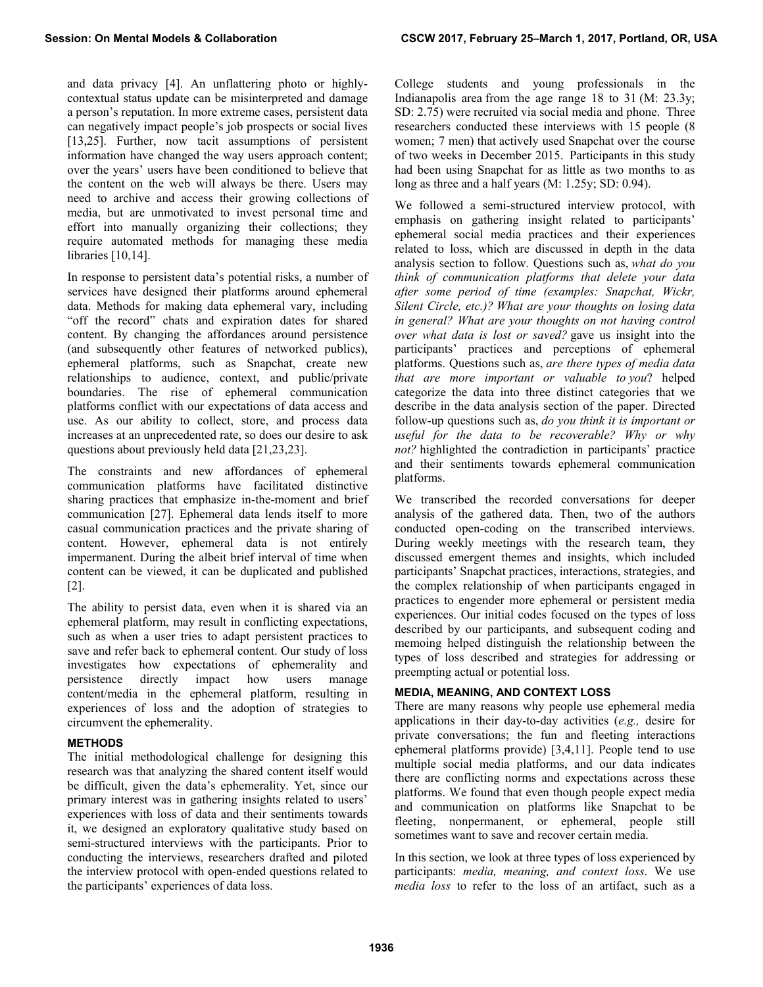and data privacy [4]. An unflattering photo or highlycontextual status update can be misinterpreted and damage a person's reputation. In more extreme cases, persistent data can negatively impact people's job prospects or social lives [13,25]. Further, now tacit assumptions of persistent information have changed the way users approach content; over the years' users have been conditioned to believe that the content on the web will always be there. Users may need to archive and access their growing collections of media, but are unmotivated to invest personal time and effort into manually organizing their collections; they require automated methods for managing these media libraries [10,14].

In response to persistent data's potential risks, a number of services have designed their platforms around ephemeral data. Methods for making data ephemeral vary, including "off the record" chats and expiration dates for shared content. By changing the affordances around persistence (and subsequently other features of networked publics), ephemeral platforms, such as Snapchat, create new relationships to audience, context, and public/private boundaries. The rise of ephemeral communication platforms conflict with our expectations of data access and use. As our ability to collect, store, and process data increases at an unprecedented rate, so does our desire to ask questions about previously held data [21,23,23].

The constraints and new affordances of ephemeral communication platforms have facilitated distinctive sharing practices that emphasize in-the-moment and brief communication [27]. Ephemeral data lends itself to more casual communication practices and the private sharing of content. However, ephemeral data is not entirely impermanent. During the albeit brief interval of time when content can be viewed, it can be duplicated and published [2].

The ability to persist data, even when it is shared via an ephemeral platform, may result in conflicting expectations, such as when a user tries to adapt persistent practices to save and refer back to ephemeral content. Our study of loss investigates how expectations of ephemerality and persistence directly impact how users manage content/media in the ephemeral platform, resulting in experiences of loss and the adoption of strategies to circumvent the ephemerality.

# **METHODS**

The initial methodological challenge for designing this research was that analyzing the shared content itself would be difficult, given the data's ephemerality. Yet, since our primary interest was in gathering insights related to users' experiences with loss of data and their sentiments towards it, we designed an exploratory qualitative study based on semi-structured interviews with the participants. Prior to conducting the interviews, researchers drafted and piloted the interview protocol with open-ended questions related to the participants' experiences of data loss.

College students and young professionals in the Indianapolis area from the age range 18 to 31 (M: 23.3y; SD: 2.75) were recruited via social media and phone. Three researchers conducted these interviews with 15 people (8 women; 7 men) that actively used Snapchat over the course of two weeks in December 2015. Participants in this study had been using Snapchat for as little as two months to as long as three and a half years (M: 1.25y; SD: 0.94).

We followed a semi-structured interview protocol, with emphasis on gathering insight related to participants' ephemeral social media practices and their experiences related to loss, which are discussed in depth in the data analysis section to follow. Questions such as, *what do you think of communication platforms that delete your data after some period of time (examples: Snapchat, Wickr, Silent Circle, etc.)? What are your thoughts on losing data in general? What are your thoughts on not having control over what data is lost or saved?* gave us insight into the participants' practices and perceptions of ephemeral platforms. Questions such as, *are there types of media data that are more important or valuable to you*? helped categorize the data into three distinct categories that we describe in the data analysis section of the paper. Directed follow-up questions such as, *do you think it is important or useful for the data to be recoverable? Why or why not?* highlighted the contradiction in participants' practice and their sentiments towards ephemeral communication platforms.

We transcribed the recorded conversations for deeper analysis of the gathered data. Then, two of the authors conducted open-coding on the transcribed interviews. During weekly meetings with the research team, they discussed emergent themes and insights, which included participants' Snapchat practices, interactions, strategies, and the complex relationship of when participants engaged in practices to engender more ephemeral or persistent media experiences. Our initial codes focused on the types of loss described by our participants, and subsequent coding and memoing helped distinguish the relationship between the types of loss described and strategies for addressing or preempting actual or potential loss.

# **MEDIA, MEANING, AND CONTEXT LOSS**

There are many reasons why people use ephemeral media applications in their day-to-day activities (*e.g.,* desire for private conversations; the fun and fleeting interactions ephemeral platforms provide) [3,4,11]. People tend to use multiple social media platforms, and our data indicates there are conflicting norms and expectations across these platforms. We found that even though people expect media and communication on platforms like Snapchat to be fleeting, nonpermanent, or ephemeral, people still sometimes want to save and recover certain media.

In this section, we look at three types of loss experienced by participants: *media, meaning, and context loss*. We use *media loss* to refer to the loss of an artifact, such as a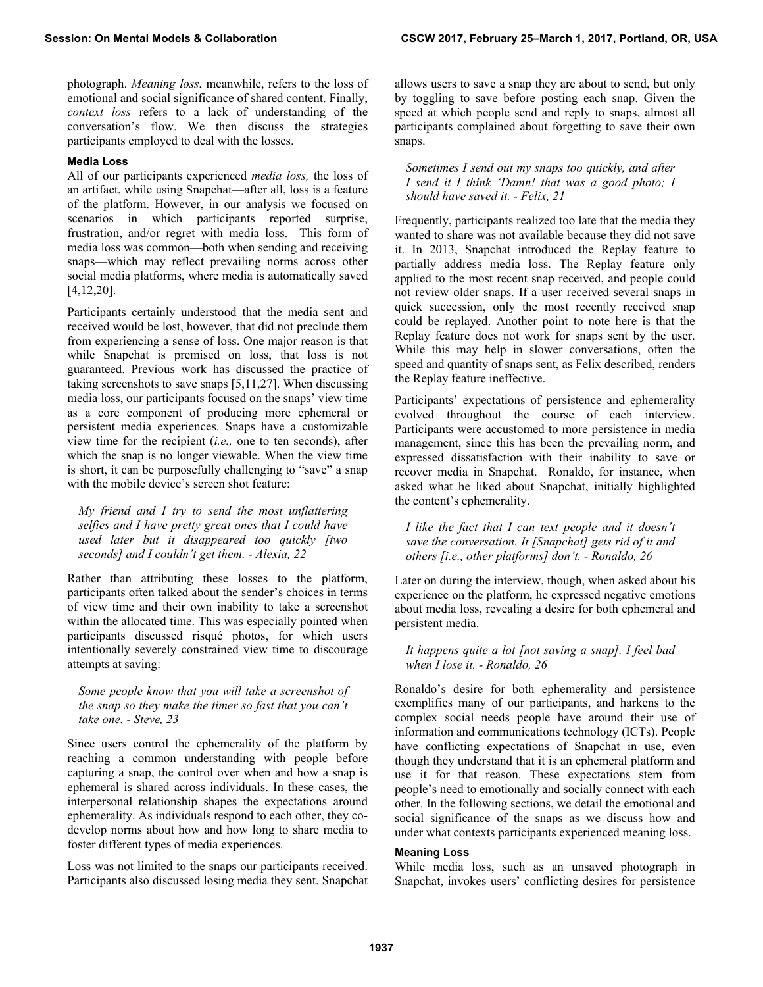photograph. *Meaning loss*, meanwhile, refers to the loss of emotional and social significance of shared content. Finally, *context loss* refers to a lack of understanding of the conversation's flow. We then discuss the strategies participants employed to deal with the losses.

## **Media Loss**

All of our participants experienced *media loss,* the loss of an artifact, while using Snapchat—after all, loss is a feature of the platform. However, in our analysis we focused on scenarios in which participants reported surprise, frustration, and/or regret with media loss. This form of media loss was common—both when sending and receiving snaps—which may reflect prevailing norms across other social media platforms, where media is automatically saved [4,12,20].

Participants certainly understood that the media sent and received would be lost, however, that did not preclude them from experiencing a sense of loss. One major reason is that while Snapchat is premised on loss, that loss is not guaranteed. Previous work has discussed the practice of taking screenshots to save snaps [5,11,27]. When discussing media loss, our participants focused on the snaps' view time as a core component of producing more ephemeral or persistent media experiences. Snaps have a customizable view time for the recipient (*i.e.,* one to ten seconds), after which the snap is no longer viewable. When the view time is short, it can be purposefully challenging to "save" a snap with the mobile device's screen shot feature:

*My friend and I try to send the most unflattering selfies and I have pretty great ones that I could have used later but it disappeared too quickly [two seconds] and I couldn't get them. - Alexia, 22* 

Rather than attributing these losses to the platform, participants often talked about the sender's choices in terms of view time and their own inability to take a screenshot within the allocated time. This was especially pointed when participants discussed risqué photos, for which users intentionally severely constrained view time to discourage attempts at saving:

*Some people know that you will take a screenshot of the snap so they make the timer so fast that you can't take one. - Steve, 23* 

Since users control the ephemerality of the platform by reaching a common understanding with people before capturing a snap, the control over when and how a snap is ephemeral is shared across individuals. In these cases, the interpersonal relationship shapes the expectations around ephemerality. As individuals respond to each other, they codevelop norms about how and how long to share media to foster different types of media experiences.

Loss was not limited to the snaps our participants received. Participants also discussed losing media they sent. Snapchat allows users to save a snap they are about to send, but only by toggling to save before posting each snap. Given the speed at which people send and reply to snaps, almost all participants complained about forgetting to save their own snaps.

*Sometimes I send out my snaps too quickly, and after I send it I think 'Damn! that was a good photo; I should have saved it. - Felix, 21* 

Frequently, participants realized too late that the media they wanted to share was not available because they did not save it. In 2013, Snapchat introduced the Replay feature to partially address media loss. The Replay feature only applied to the most recent snap received, and people could not review older snaps. If a user received several snaps in quick succession, only the most recently received snap could be replayed. Another point to note here is that the Replay feature does not work for snaps sent by the user. While this may help in slower conversations, often the speed and quantity of snaps sent, as Felix described, renders the Replay feature ineffective.

Participants' expectations of persistence and ephemerality evolved throughout the course of each interview. Participants were accustomed to more persistence in media management, since this has been the prevailing norm, and expressed dissatisfaction with their inability to save or recover media in Snapchat. Ronaldo, for instance, when asked what he liked about Snapchat, initially highlighted the content's ephemerality.

*I like the fact that I can text people and it doesn't save the conversation. It [Snapchat] gets rid of it and others [i.e., other platforms] don't. - Ronaldo, 26* 

Later on during the interview, though, when asked about his experience on the platform, he expressed negative emotions about media loss, revealing a desire for both ephemeral and persistent media.

*It happens quite a lot [not saving a snap]. I feel bad when I lose it. - Ronaldo, 26* 

Ronaldo's desire for both ephemerality and persistence exemplifies many of our participants, and harkens to the complex social needs people have around their use of information and communications technology (ICTs). People have conflicting expectations of Snapchat in use, even though they understand that it is an ephemeral platform and use it for that reason. These expectations stem from people's need to emotionally and socially connect with each other. In the following sections, we detail the emotional and social significance of the snaps as we discuss how and under what contexts participants experienced meaning loss.

### **Meaning Loss**

While media loss, such as an unsaved photograph in Snapchat, invokes users' conflicting desires for persistence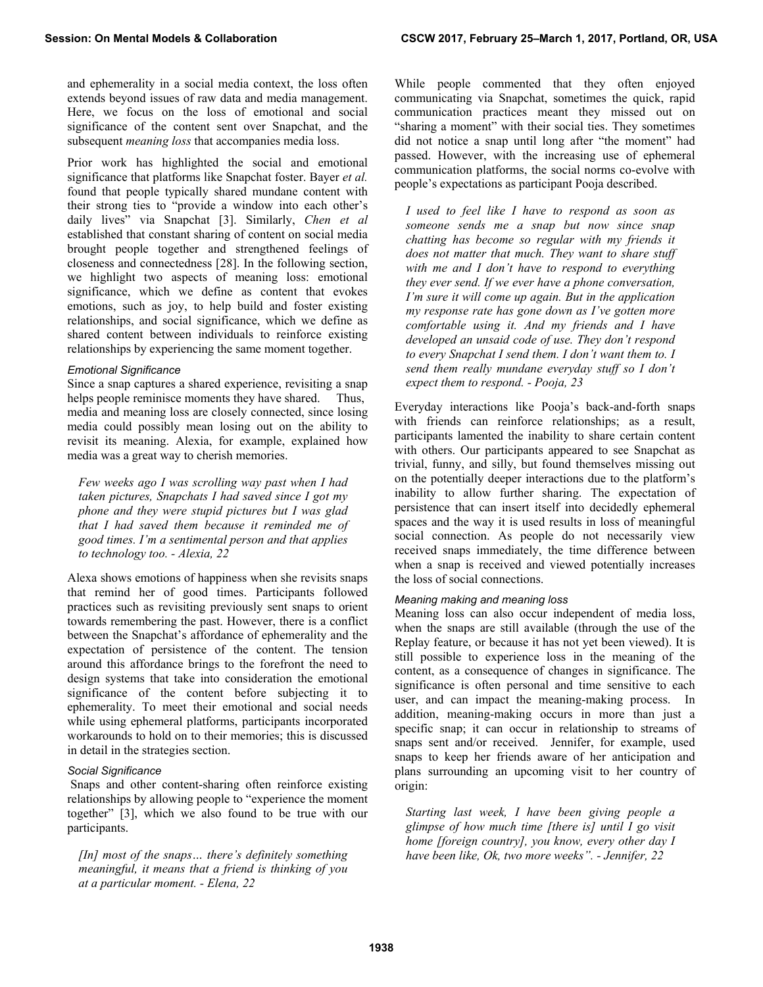and ephemerality in a social media context, the loss often extends beyond issues of raw data and media management. Here, we focus on the loss of emotional and social significance of the content sent over Snapchat, and the subsequent *meaning loss* that accompanies media loss.

Prior work has highlighted the social and emotional significance that platforms like Snapchat foster. Bayer *et al.* found that people typically shared mundane content with their strong ties to "provide a window into each other's daily lives" via Snapchat [3]. Similarly, *Chen et al* established that constant sharing of content on social media brought people together and strengthened feelings of closeness and connectedness [28]. In the following section, we highlight two aspects of meaning loss: emotional significance, which we define as content that evokes emotions, such as joy, to help build and foster existing relationships, and social significance, which we define as shared content between individuals to reinforce existing relationships by experiencing the same moment together.

## *Emotional Significance*

Since a snap captures a shared experience, revisiting a snap helps people reminisce moments they have shared. Thus, media and meaning loss are closely connected, since losing media could possibly mean losing out on the ability to revisit its meaning. Alexia, for example, explained how media was a great way to cherish memories.

*Few weeks ago I was scrolling way past when I had taken pictures, Snapchats I had saved since I got my phone and they were stupid pictures but I was glad that I had saved them because it reminded me of good times. I'm a sentimental person and that applies to technology too. - Alexia, 22* 

Alexa shows emotions of happiness when she revisits snaps that remind her of good times. Participants followed practices such as revisiting previously sent snaps to orient towards remembering the past. However, there is a conflict between the Snapchat's affordance of ephemerality and the expectation of persistence of the content. The tension around this affordance brings to the forefront the need to design systems that take into consideration the emotional significance of the content before subjecting it to ephemerality. To meet their emotional and social needs while using ephemeral platforms, participants incorporated workarounds to hold on to their memories; this is discussed in detail in the strategies section.

#### *Social Significance*

 Snaps and other content-sharing often reinforce existing relationships by allowing people to "experience the moment together" [3], which we also found to be true with our participants.

*[In] most of the snaps… there's definitely something meaningful, it means that a friend is thinking of you at a particular moment. - Elena, 22* 

While people commented that they often enjoyed communicating via Snapchat, sometimes the quick, rapid communication practices meant they missed out on "sharing a moment" with their social ties. They sometimes did not notice a snap until long after "the moment" had passed. However, with the increasing use of ephemeral communication platforms, the social norms co-evolve with people's expectations as participant Pooja described.

*I used to feel like I have to respond as soon as someone sends me a snap but now since snap chatting has become so regular with my friends it does not matter that much. They want to share stuff with me and I don't have to respond to everything they ever send. If we ever have a phone conversation, I'm sure it will come up again. But in the application my response rate has gone down as I've gotten more comfortable using it. And my friends and I have developed an unsaid code of use. They don't respond to every Snapchat I send them. I don't want them to. I send them really mundane everyday stuff so I don't expect them to respond. - Pooja, 23* 

Everyday interactions like Pooja's back-and-forth snaps with friends can reinforce relationships; as a result, participants lamented the inability to share certain content with others. Our participants appeared to see Snapchat as trivial, funny, and silly, but found themselves missing out on the potentially deeper interactions due to the platform's inability to allow further sharing. The expectation of persistence that can insert itself into decidedly ephemeral spaces and the way it is used results in loss of meaningful social connection. As people do not necessarily view received snaps immediately, the time difference between when a snap is received and viewed potentially increases the loss of social connections.

#### *Meaning making and meaning loss*

Meaning loss can also occur independent of media loss, when the snaps are still available (through the use of the Replay feature, or because it has not yet been viewed). It is still possible to experience loss in the meaning of the content, as a consequence of changes in significance. The significance is often personal and time sensitive to each user, and can impact the meaning-making process. In addition, meaning-making occurs in more than just a specific snap; it can occur in relationship to streams of snaps sent and/or received. Jennifer, for example, used snaps to keep her friends aware of her anticipation and plans surrounding an upcoming visit to her country of origin:

*Starting last week, I have been giving people a glimpse of how much time [there is] until I go visit home [foreign country], you know, every other day I have been like, Ok, two more weeks". - Jennifer, 22*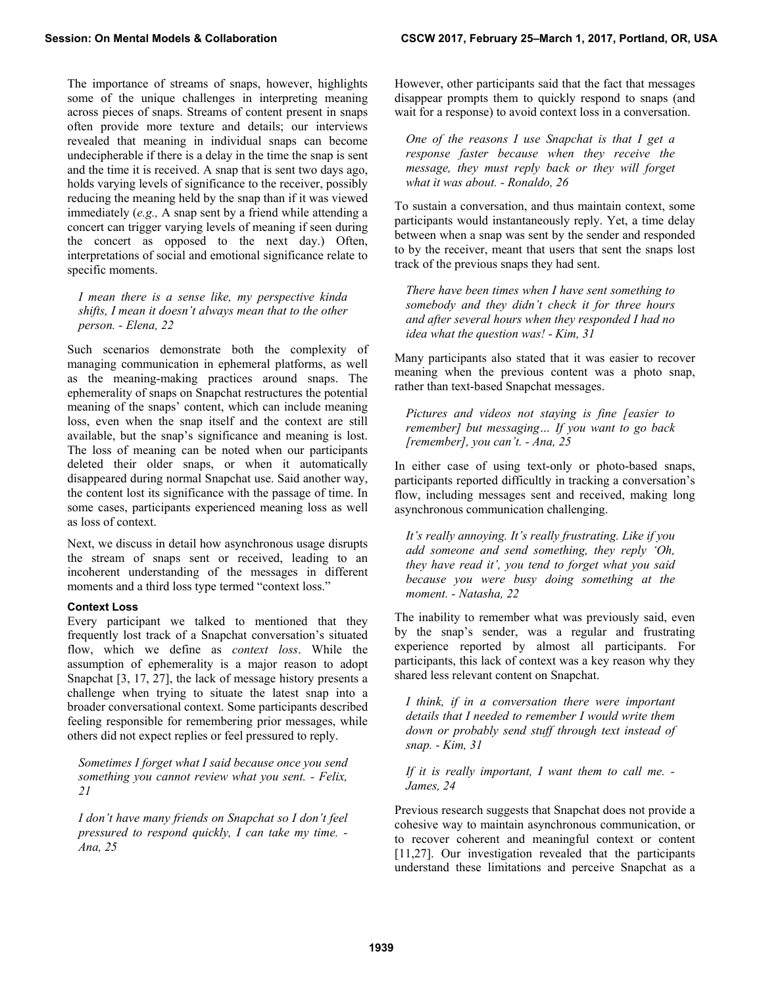The importance of streams of snaps, however, highlights some of the unique challenges in interpreting meaning across pieces of snaps. Streams of content present in snaps often provide more texture and details; our interviews revealed that meaning in individual snaps can become undecipherable if there is a delay in the time the snap is sent and the time it is received. A snap that is sent two days ago, holds varying levels of significance to the receiver, possibly reducing the meaning held by the snap than if it was viewed immediately (*e.g.,* A snap sent by a friend while attending a concert can trigger varying levels of meaning if seen during the concert as opposed to the next day.) Often, interpretations of social and emotional significance relate to specific moments.

*I mean there is a sense like, my perspective kinda shifts, I mean it doesn't always mean that to the other person. - Elena, 22* 

Such scenarios demonstrate both the complexity of managing communication in ephemeral platforms, as well as the meaning-making practices around snaps. The ephemerality of snaps on Snapchat restructures the potential meaning of the snaps' content, which can include meaning loss, even when the snap itself and the context are still available, but the snap's significance and meaning is lost. The loss of meaning can be noted when our participants deleted their older snaps, or when it automatically disappeared during normal Snapchat use. Said another way, the content lost its significance with the passage of time. In some cases, participants experienced meaning loss as well as loss of context.

Next, we discuss in detail how asynchronous usage disrupts the stream of snaps sent or received, leading to an incoherent understanding of the messages in different moments and a third loss type termed "context loss."

#### **Context Loss**

Every participant we talked to mentioned that they frequently lost track of a Snapchat conversation's situated flow, which we define as *context loss*. While the assumption of ephemerality is a major reason to adopt Snapchat [3, 17, 27], the lack of message history presents a challenge when trying to situate the latest snap into a broader conversational context. Some participants described feeling responsible for remembering prior messages, while others did not expect replies or feel pressured to reply.

*Sometimes I forget what I said because once you send something you cannot review what you sent. - Felix, 21* 

*I don't have many friends on Snapchat so I don't feel pressured to respond quickly, I can take my time. - Ana, 25* 

However, other participants said that the fact that messages disappear prompts them to quickly respond to snaps (and wait for a response) to avoid context loss in a conversation.

*One of the reasons I use Snapchat is that I get a response faster because when they receive the message, they must reply back or they will forget what it was about. - Ronaldo, 26* 

To sustain a conversation, and thus maintain context, some participants would instantaneously reply. Yet, a time delay between when a snap was sent by the sender and responded to by the receiver, meant that users that sent the snaps lost track of the previous snaps they had sent.

*There have been times when I have sent something to somebody and they didn't check it for three hours and after several hours when they responded I had no idea what the question was! - Kim, 31* 

Many participants also stated that it was easier to recover meaning when the previous content was a photo snap, rather than text-based Snapchat messages.

*Pictures and videos not staying is fine [easier to remember] but messaging… If you want to go back [remember], you can't. - Ana, 25* 

In either case of using text-only or photo-based snaps, participants reported difficultly in tracking a conversation's flow, including messages sent and received, making long asynchronous communication challenging.

*It's really annoying. It's really frustrating. Like if you add someone and send something, they reply 'Oh, they have read it', you tend to forget what you said because you were busy doing something at the moment. - Natasha, 22* 

The inability to remember what was previously said, even by the snap's sender, was a regular and frustrating experience reported by almost all participants. For participants, this lack of context was a key reason why they shared less relevant content on Snapchat.

*I think, if in a conversation there were important details that I needed to remember I would write them down or probably send stuff through text instead of snap. - Kim, 31* 

*If it is really important, I want them to call me. - James, 24* 

Previous research suggests that Snapchat does not provide a cohesive way to maintain asynchronous communication, or to recover coherent and meaningful context or content [11,27]. Our investigation revealed that the participants understand these limitations and perceive Snapchat as a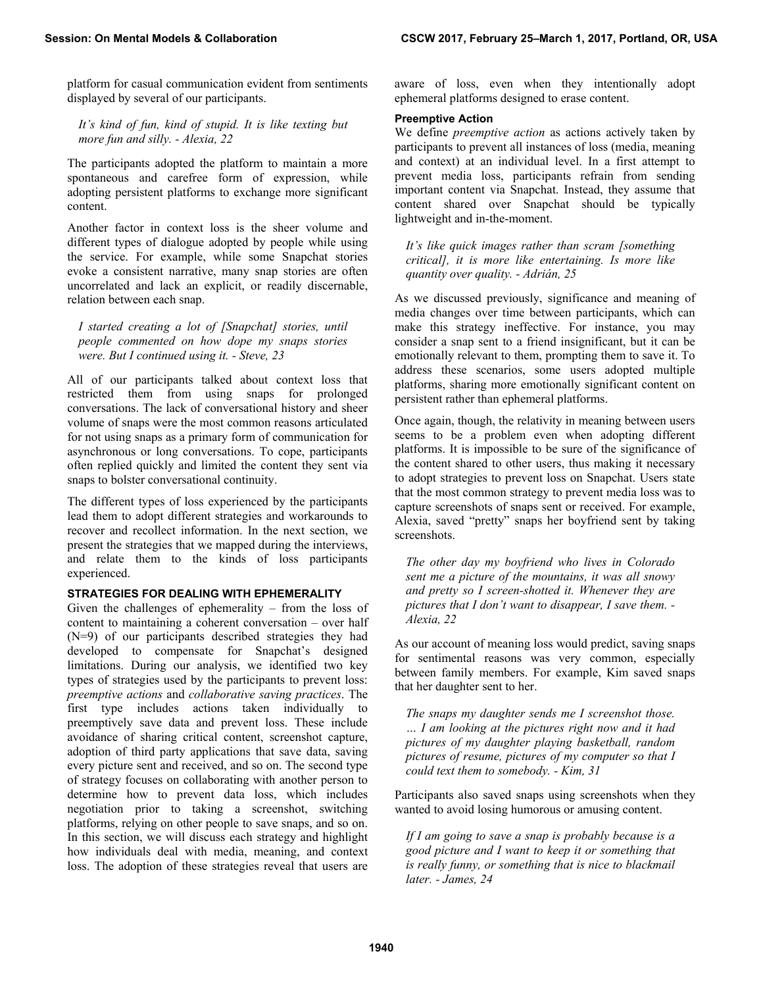platform for casual communication evident from sentiments displayed by several of our participants.

*It's kind of fun, kind of stupid. It is like texting but more fun and silly. - Alexia, 22*

The participants adopted the platform to maintain a more spontaneous and carefree form of expression, while adopting persistent platforms to exchange more significant content.

Another factor in context loss is the sheer volume and different types of dialogue adopted by people while using the service. For example, while some Snapchat stories evoke a consistent narrative, many snap stories are often uncorrelated and lack an explicit, or readily discernable, relation between each snap.

*I started creating a lot of [Snapchat] stories, until people commented on how dope my snaps stories were. But I continued using it. - Steve, 23* 

All of our participants talked about context loss that restricted them from using snaps for prolonged conversations. The lack of conversational history and sheer volume of snaps were the most common reasons articulated for not using snaps as a primary form of communication for asynchronous or long conversations. To cope, participants often replied quickly and limited the content they sent via snaps to bolster conversational continuity.

The different types of loss experienced by the participants lead them to adopt different strategies and workarounds to recover and recollect information. In the next section, we present the strategies that we mapped during the interviews, and relate them to the kinds of loss participants experienced.

# **STRATEGIES FOR DEALING WITH EPHEMERALITY**

Given the challenges of ephemerality – from the loss of content to maintaining a coherent conversation – over half (N=9) of our participants described strategies they had developed to compensate for Snapchat's designed limitations. During our analysis, we identified two key types of strategies used by the participants to prevent loss: *preemptive actions* and *collaborative saving practices*. The first type includes actions taken individually to preemptively save data and prevent loss. These include avoidance of sharing critical content, screenshot capture, adoption of third party applications that save data, saving every picture sent and received, and so on. The second type of strategy focuses on collaborating with another person to determine how to prevent data loss, which includes negotiation prior to taking a screenshot, switching platforms, relying on other people to save snaps, and so on. In this section, we will discuss each strategy and highlight how individuals deal with media, meaning, and context loss. The adoption of these strategies reveal that users are aware of loss, even when they intentionally adopt ephemeral platforms designed to erase content.

# **Preemptive Action**

We define *preemptive action* as actions actively taken by participants to prevent all instances of loss (media, meaning and context) at an individual level. In a first attempt to prevent media loss, participants refrain from sending important content via Snapchat. Instead, they assume that content shared over Snapchat should be typically lightweight and in-the-moment.

*It's like quick images rather than scram [something critical], it is more like entertaining. Is more like quantity over quality. - Adrián, 25* 

As we discussed previously, significance and meaning of media changes over time between participants, which can make this strategy ineffective. For instance, you may consider a snap sent to a friend insignificant, but it can be emotionally relevant to them, prompting them to save it. To address these scenarios, some users adopted multiple platforms, sharing more emotionally significant content on persistent rather than ephemeral platforms.

Once again, though, the relativity in meaning between users seems to be a problem even when adopting different platforms. It is impossible to be sure of the significance of the content shared to other users, thus making it necessary to adopt strategies to prevent loss on Snapchat. Users state that the most common strategy to prevent media loss was to capture screenshots of snaps sent or received. For example, Alexia, saved "pretty" snaps her boyfriend sent by taking screenshots.

*The other day my boyfriend who lives in Colorado sent me a picture of the mountains, it was all snowy and pretty so I screen-shotted it. Whenever they are pictures that I don't want to disappear, I save them. - Alexia, 22* 

As our account of meaning loss would predict, saving snaps for sentimental reasons was very common, especially between family members. For example, Kim saved snaps that her daughter sent to her.

*The snaps my daughter sends me I screenshot those. … I am looking at the pictures right now and it had pictures of my daughter playing basketball, random pictures of resume, pictures of my computer so that I could text them to somebody. - Kim, 31* 

Participants also saved snaps using screenshots when they wanted to avoid losing humorous or amusing content.

*If I am going to save a snap is probably because is a good picture and I want to keep it or something that is really funny, or something that is nice to blackmail later. - James, 24*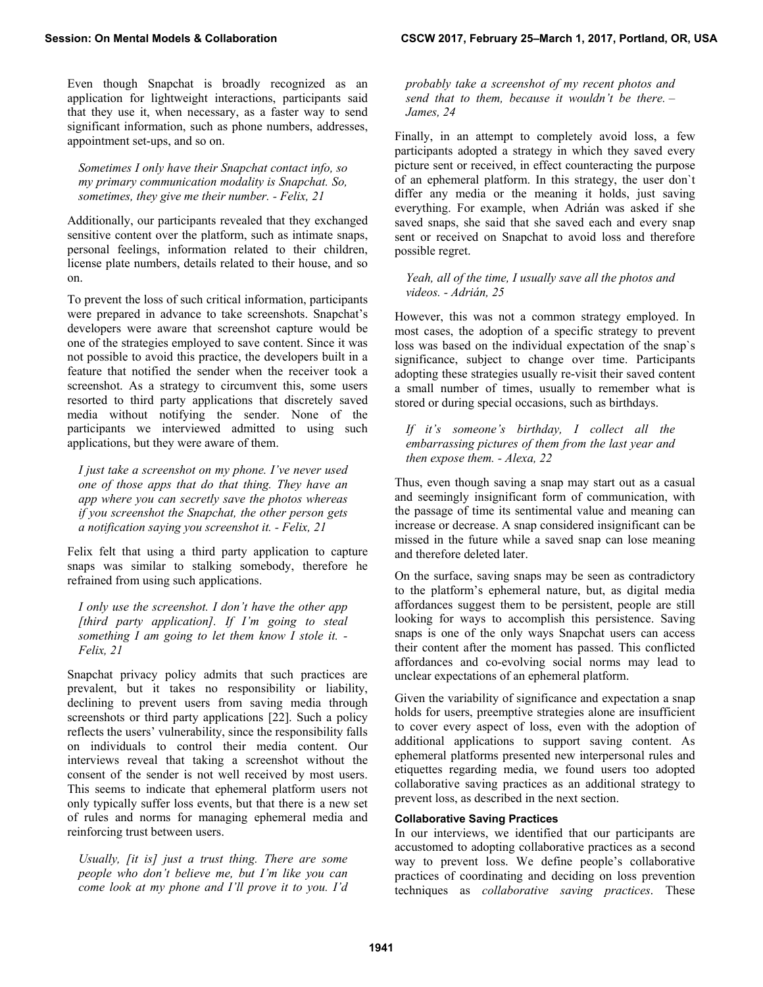Even though Snapchat is broadly recognized as an application for lightweight interactions, participants said that they use it, when necessary, as a faster way to send significant information, such as phone numbers, addresses, appointment set-ups, and so on.

*Sometimes I only have their Snapchat contact info, so my primary communication modality is Snapchat. So, sometimes, they give me their number. - Felix, 21* 

Additionally, our participants revealed that they exchanged sensitive content over the platform, such as intimate snaps, personal feelings, information related to their children, license plate numbers, details related to their house, and so on.

To prevent the loss of such critical information, participants were prepared in advance to take screenshots. Snapchat's developers were aware that screenshot capture would be one of the strategies employed to save content. Since it was not possible to avoid this practice, the developers built in a feature that notified the sender when the receiver took a screenshot. As a strategy to circumvent this, some users resorted to third party applications that discretely saved media without notifying the sender. None of the participants we interviewed admitted to using such applications, but they were aware of them.

*I just take a screenshot on my phone. I've never used one of those apps that do that thing. They have an app where you can secretly save the photos whereas if you screenshot the Snapchat, the other person gets a notification saying you screenshot it. - Felix, 21* 

Felix felt that using a third party application to capture snaps was similar to stalking somebody, therefore he refrained from using such applications.

*I only use the screenshot. I don't have the other app [third party application]. If I'm going to steal something I am going to let them know I stole it. - Felix, 21* 

Snapchat privacy policy admits that such practices are prevalent, but it takes no responsibility or liability, declining to prevent users from saving media through screenshots or third party applications [22]. Such a policy reflects the users' vulnerability, since the responsibility falls on individuals to control their media content. Our interviews reveal that taking a screenshot without the consent of the sender is not well received by most users. This seems to indicate that ephemeral platform users not only typically suffer loss events, but that there is a new set of rules and norms for managing ephemeral media and reinforcing trust between users.

*Usually, [it is] just a trust thing. There are some people who don't believe me, but I'm like you can come look at my phone and I'll prove it to you. I'd*  *probably take a screenshot of my recent photos and send that to them, because it wouldn't be there. – James, 24* 

Finally, in an attempt to completely avoid loss, a few participants adopted a strategy in which they saved every picture sent or received, in effect counteracting the purpose of an ephemeral platform. In this strategy, the user don`t differ any media or the meaning it holds, just saving everything. For example, when Adrián was asked if she saved snaps, she said that she saved each and every snap sent or received on Snapchat to avoid loss and therefore possible regret.

*Yeah, all of the time, I usually save all the photos and videos. - Adrián, 25* 

However, this was not a common strategy employed. In most cases, the adoption of a specific strategy to prevent loss was based on the individual expectation of the snap`s significance, subject to change over time. Participants adopting these strategies usually re-visit their saved content a small number of times, usually to remember what is stored or during special occasions, such as birthdays.

*If it's someone's birthday, I collect all the embarrassing pictures of them from the last year and then expose them. - Alexa, 22* 

Thus, even though saving a snap may start out as a casual and seemingly insignificant form of communication, with the passage of time its sentimental value and meaning can increase or decrease. A snap considered insignificant can be missed in the future while a saved snap can lose meaning and therefore deleted later.

On the surface, saving snaps may be seen as contradictory to the platform's ephemeral nature, but, as digital media affordances suggest them to be persistent, people are still looking for ways to accomplish this persistence. Saving snaps is one of the only ways Snapchat users can access their content after the moment has passed. This conflicted affordances and co-evolving social norms may lead to unclear expectations of an ephemeral platform.

Given the variability of significance and expectation a snap holds for users, preemptive strategies alone are insufficient to cover every aspect of loss, even with the adoption of additional applications to support saving content. As ephemeral platforms presented new interpersonal rules and etiquettes regarding media, we found users too adopted collaborative saving practices as an additional strategy to prevent loss, as described in the next section.

# **Collaborative Saving Practices**

In our interviews, we identified that our participants are accustomed to adopting collaborative practices as a second way to prevent loss. We define people's collaborative practices of coordinating and deciding on loss prevention techniques as *collaborative saving practices*. These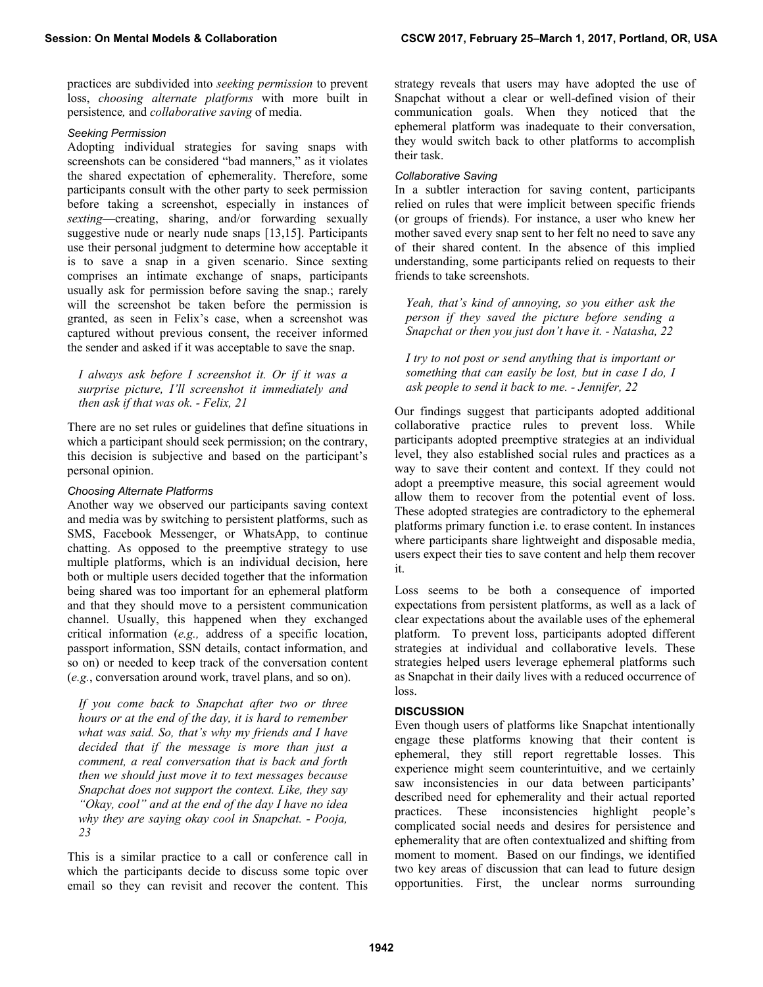practices are subdivided into *seeking permission* to prevent loss, *choosing alternate platforms* with more built in persistence*,* and *collaborative saving* of media.

#### *Seeking Permission*

Adopting individual strategies for saving snaps with screenshots can be considered "bad manners," as it violates the shared expectation of ephemerality. Therefore, some participants consult with the other party to seek permission before taking a screenshot, especially in instances of *sexting*—creating, sharing, and/or forwarding sexually suggestive nude or nearly nude snaps [13,15]. Participants use their personal judgment to determine how acceptable it is to save a snap in a given scenario. Since sexting comprises an intimate exchange of snaps, participants usually ask for permission before saving the snap.; rarely will the screenshot be taken before the permission is granted, as seen in Felix's case, when a screenshot was captured without previous consent, the receiver informed the sender and asked if it was acceptable to save the snap.

*I always ask before I screenshot it. Or if it was a surprise picture, I'll screenshot it immediately and then ask if that was ok. - Felix, 21* 

There are no set rules or guidelines that define situations in which a participant should seek permission; on the contrary, this decision is subjective and based on the participant's personal opinion.

### *Choosing Alternate Platforms*

Another way we observed our participants saving context and media was by switching to persistent platforms, such as SMS, Facebook Messenger, or WhatsApp, to continue chatting. As opposed to the preemptive strategy to use multiple platforms, which is an individual decision, here both or multiple users decided together that the information being shared was too important for an ephemeral platform and that they should move to a persistent communication channel. Usually, this happened when they exchanged critical information (*e.g.,* address of a specific location, passport information, SSN details, contact information, and so on) or needed to keep track of the conversation content (*e.g.*, conversation around work, travel plans, and so on).

*If you come back to Snapchat after two or three hours or at the end of the day, it is hard to remember what was said. So, that's why my friends and I have decided that if the message is more than just a comment, a real conversation that is back and forth then we should just move it to text messages because Snapchat does not support the context. Like, they say "Okay, cool" and at the end of the day I have no idea why they are saying okay cool in Snapchat. - Pooja, 23* 

This is a similar practice to a call or conference call in which the participants decide to discuss some topic over email so they can revisit and recover the content. This strategy reveals that users may have adopted the use of Snapchat without a clear or well-defined vision of their communication goals. When they noticed that the ephemeral platform was inadequate to their conversation, they would switch back to other platforms to accomplish their task.

## *Collaborative Saving*

In a subtler interaction for saving content, participants relied on rules that were implicit between specific friends (or groups of friends). For instance, a user who knew her mother saved every snap sent to her felt no need to save any of their shared content. In the absence of this implied understanding, some participants relied on requests to their friends to take screenshots.

*Yeah, that's kind of annoying, so you either ask the person if they saved the picture before sending a Snapchat or then you just don't have it. - Natasha, 22* 

*I try to not post or send anything that is important or something that can easily be lost, but in case I do, I ask people to send it back to me. - Jennifer, 22* 

Our findings suggest that participants adopted additional collaborative practice rules to prevent loss. While participants adopted preemptive strategies at an individual level, they also established social rules and practices as a way to save their content and context. If they could not adopt a preemptive measure, this social agreement would allow them to recover from the potential event of loss. These adopted strategies are contradictory to the ephemeral platforms primary function i.e. to erase content. In instances where participants share lightweight and disposable media, users expect their ties to save content and help them recover it.

Loss seems to be both a consequence of imported expectations from persistent platforms, as well as a lack of clear expectations about the available uses of the ephemeral platform. To prevent loss, participants adopted different strategies at individual and collaborative levels. These strategies helped users leverage ephemeral platforms such as Snapchat in their daily lives with a reduced occurrence of loss.

# **DISCUSSION**

Even though users of platforms like Snapchat intentionally engage these platforms knowing that their content is ephemeral, they still report regrettable losses. This experience might seem counterintuitive, and we certainly saw inconsistencies in our data between participants' described need for ephemerality and their actual reported practices. These inconsistencies highlight people's complicated social needs and desires for persistence and ephemerality that are often contextualized and shifting from moment to moment. Based on our findings, we identified two key areas of discussion that can lead to future design opportunities. First, the unclear norms surrounding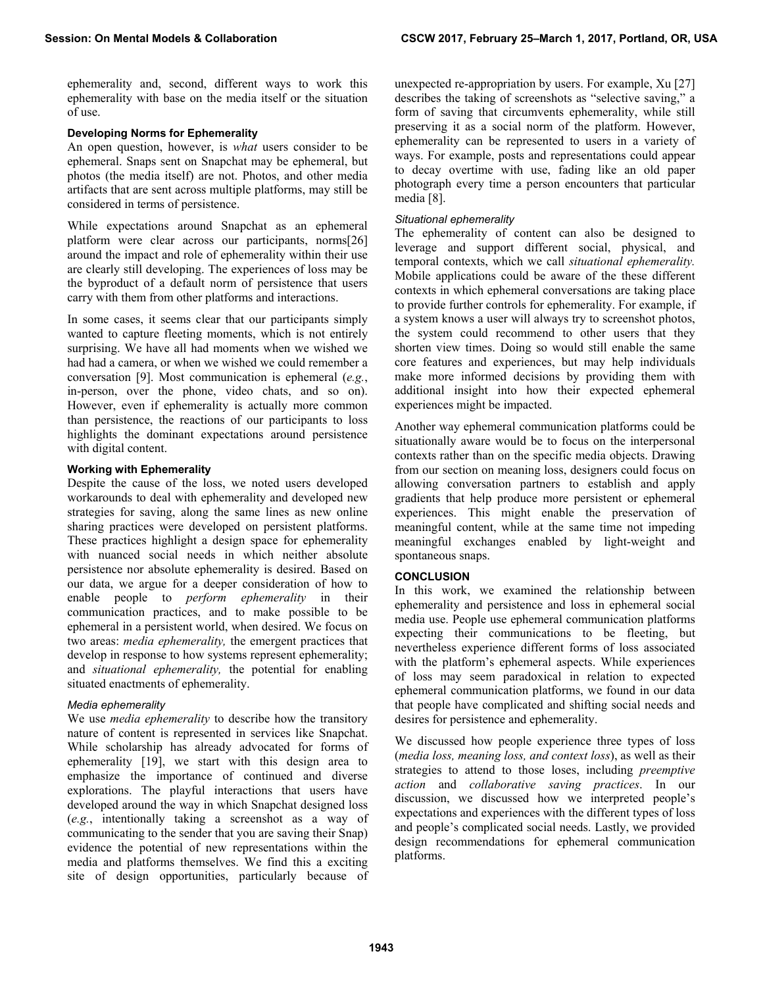ephemerality and, second, different ways to work this ephemerality with base on the media itself or the situation of use.

# **Developing Norms for Ephemerality**

An open question, however, is *what* users consider to be ephemeral. Snaps sent on Snapchat may be ephemeral, but photos (the media itself) are not. Photos, and other media artifacts that are sent across multiple platforms, may still be considered in terms of persistence.

While expectations around Snapchat as an ephemeral platform were clear across our participants, norms[26] around the impact and role of ephemerality within their use are clearly still developing. The experiences of loss may be the byproduct of a default norm of persistence that users carry with them from other platforms and interactions.

In some cases, it seems clear that our participants simply wanted to capture fleeting moments, which is not entirely surprising. We have all had moments when we wished we had had a camera, or when we wished we could remember a conversation [9]. Most communication is ephemeral (*e.g.*, in-person, over the phone, video chats, and so on). However, even if ephemerality is actually more common than persistence, the reactions of our participants to loss highlights the dominant expectations around persistence with digital content.

# **Working with Ephemerality**

Despite the cause of the loss, we noted users developed workarounds to deal with ephemerality and developed new strategies for saving, along the same lines as new online sharing practices were developed on persistent platforms. These practices highlight a design space for ephemerality with nuanced social needs in which neither absolute persistence nor absolute ephemerality is desired. Based on our data, we argue for a deeper consideration of how to enable people to *perform ephemerality* in their communication practices, and to make possible to be ephemeral in a persistent world, when desired. We focus on two areas: *media ephemerality,* the emergent practices that develop in response to how systems represent ephemerality; and *situational ephemerality,* the potential for enabling situated enactments of ephemerality.

# *Media ephemerality*

We use *media ephemerality* to describe how the transitory nature of content is represented in services like Snapchat. While scholarship has already advocated for forms of ephemerality [19], we start with this design area to emphasize the importance of continued and diverse explorations. The playful interactions that users have developed around the way in which Snapchat designed loss (*e.g.*, intentionally taking a screenshot as a way of communicating to the sender that you are saving their Snap) evidence the potential of new representations within the media and platforms themselves. We find this a exciting site of design opportunities, particularly because of unexpected re-appropriation by users. For example, Xu [27] describes the taking of screenshots as "selective saving," a form of saving that circumvents ephemerality, while still preserving it as a social norm of the platform. However, ephemerality can be represented to users in a variety of ways. For example, posts and representations could appear to decay overtime with use, fading like an old paper photograph every time a person encounters that particular media [8].

# *Situational ephemerality*

The ephemerality of content can also be designed to leverage and support different social, physical, and temporal contexts, which we call *situational ephemerality.* Mobile applications could be aware of the these different contexts in which ephemeral conversations are taking place to provide further controls for ephemerality. For example, if a system knows a user will always try to screenshot photos, the system could recommend to other users that they shorten view times. Doing so would still enable the same core features and experiences, but may help individuals make more informed decisions by providing them with additional insight into how their expected ephemeral experiences might be impacted.

Another way ephemeral communication platforms could be situationally aware would be to focus on the interpersonal contexts rather than on the specific media objects. Drawing from our section on meaning loss, designers could focus on allowing conversation partners to establish and apply gradients that help produce more persistent or ephemeral experiences. This might enable the preservation of meaningful content, while at the same time not impeding meaningful exchanges enabled by light-weight and spontaneous snaps.

# **CONCLUSION**

In this work, we examined the relationship between ephemerality and persistence and loss in ephemeral social media use. People use ephemeral communication platforms expecting their communications to be fleeting, but nevertheless experience different forms of loss associated with the platform's ephemeral aspects. While experiences of loss may seem paradoxical in relation to expected ephemeral communication platforms, we found in our data that people have complicated and shifting social needs and desires for persistence and ephemerality.

We discussed how people experience three types of loss (*media loss, meaning loss, and context loss*), as well as their strategies to attend to those loses, including *preemptive action* and *collaborative saving practices*. In our discussion, we discussed how we interpreted people's expectations and experiences with the different types of loss and people's complicated social needs. Lastly, we provided design recommendations for ephemeral communication platforms.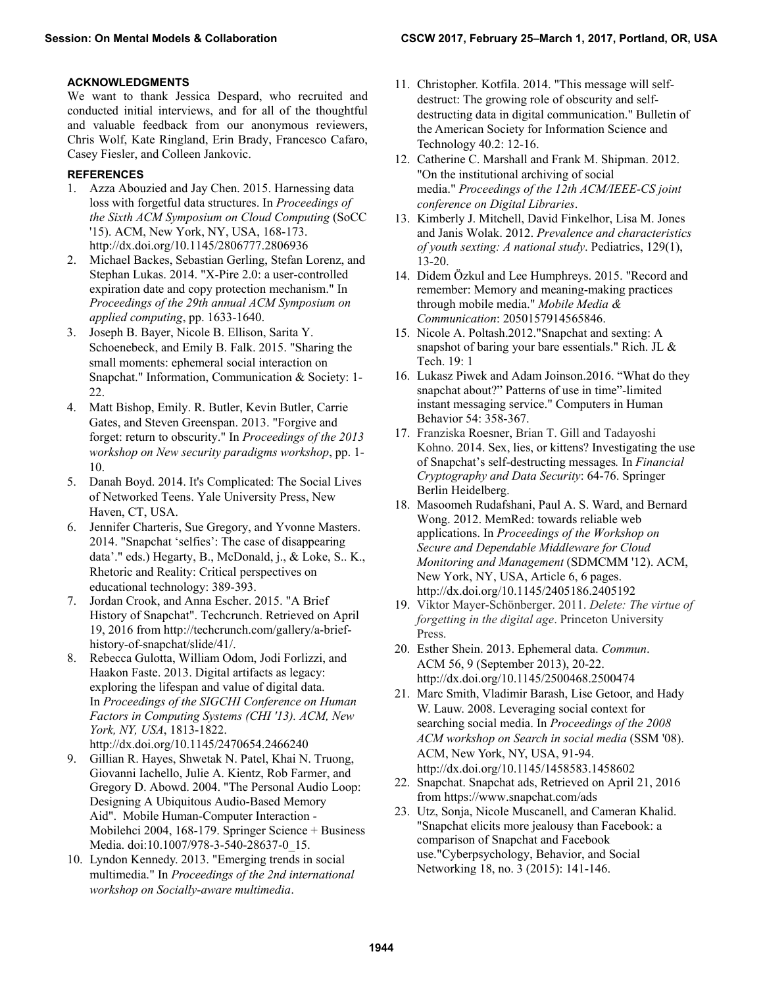# **ACKNOWLEDGMENTS**

We want to thank Jessica Despard, who recruited and conducted initial interviews, and for all of the thoughtful and valuable feedback from our anonymous reviewers, Chris Wolf, Kate Ringland, Erin Brady, Francesco Cafaro, Casey Fiesler, and Colleen Jankovic.

# **REFERENCES**

- 1. Azza Abouzied and Jay Chen. 2015. Harnessing data loss with forgetful data structures. In *Proceedings of the Sixth ACM Symposium on Cloud Computing* (SoCC '15). ACM, New York, NY, USA, 168-173. http://dx.doi.org/10.1145/2806777.2806936
- 2. Michael Backes, Sebastian Gerling, Stefan Lorenz, and Stephan Lukas. 2014. "X-Pire 2.0: a user-controlled expiration date and copy protection mechanism." In *Proceedings of the 29th annual ACM Symposium on applied computing*, pp. 1633-1640.
- 3. Joseph B. Bayer, Nicole B. Ellison, Sarita Y. Schoenebeck, and Emily B. Falk. 2015. "Sharing the small moments: ephemeral social interaction on Snapchat." Information, Communication & Society: 1- 22.
- 4. Matt Bishop, Emily. R. Butler, Kevin Butler, Carrie Gates, and Steven Greenspan. 2013. "Forgive and forget: return to obscurity." In *Proceedings of the 2013 workshop on New security paradigms workshop*, pp. 1- 10.
- 5. Danah Boyd. 2014. It's Complicated: The Social Lives of Networked Teens. Yale University Press, New Haven, CT, USA.
- 6. Jennifer Charteris, Sue Gregory, and Yvonne Masters. 2014. "Snapchat 'selfies': The case of disappearing data'." eds.) Hegarty, B., McDonald, j., & Loke, S.. K., Rhetoric and Reality: Critical perspectives on educational technology: 389-393.
- 7. Jordan Crook, and Anna Escher. 2015. "A Brief History of Snapchat". Techcrunch. Retrieved on April 19, 2016 from http://techcrunch.com/gallery/a-briefhistory-of-snapchat/slide/41/.
- 8. Rebecca Gulotta, William Odom, Jodi Forlizzi, and Haakon Faste. 2013. Digital artifacts as legacy: exploring the lifespan and value of digital data. In *Proceedings of the SIGCHI Conference on Human Factors in Computing Systems (CHI '13). ACM, New York, NY, USA*, 1813-1822. http://dx.doi.org/10.1145/2470654.2466240
- 9. Gillian R. Hayes, Shwetak N. Patel, Khai N. Truong, Giovanni Iachello, Julie A. Kientz, Rob Farmer, and Gregory D. Abowd. 2004. "The Personal Audio Loop: Designing A Ubiquitous Audio-Based Memory Aid". Mobile Human-Computer Interaction - Mobilehci 2004, 168-179. Springer Science + Business Media. doi:10.1007/978-3-540-28637-0\_15.
- 10. Lyndon Kennedy. 2013. "Emerging trends in social multimedia." In *Proceedings of the 2nd international workshop on Socially-aware multimedia*.
- 11. Christopher. Kotfila. 2014. "This message will selfdestruct: The growing role of obscurity and selfdestructing data in digital communication." Bulletin of the American Society for Information Science and Technology 40.2: 12-16.
- 12. Catherine C. Marshall and Frank M. Shipman. 2012. "On the institutional archiving of social media." *Proceedings of the 12th ACM/IEEE-CS joint conference on Digital Libraries*.
- 13. Kimberly J. Mitchell, David Finkelhor, Lisa M. Jones and Janis Wolak. 2012. *Prevalence and characteristics of youth sexting: A national study*. Pediatrics, 129(1), 13-20.
- 14. Didem Özkul and Lee Humphreys. 2015. "Record and remember: Memory and meaning-making practices through mobile media." *Mobile Media & Communication*: 2050157914565846.
- 15. Nicole A. Poltash.2012."Snapchat and sexting: A snapshot of baring your bare essentials." Rich. JL & Tech. 19: 1
- 16. Lukasz Piwek and Adam Joinson.2016. "What do they snapchat about?" Patterns of use in time"-limited instant messaging service." Computers in Human Behavior 54: 358-367.
- 17. Franziska Roesner, Brian T. Gill and Tadayoshi Kohno. 2014. Sex, lies, or kittens? Investigating the use of Snapchat's self-destructing messages*.* In *Financial Cryptography and Data Security*: 64-76. Springer Berlin Heidelberg.
- 18. Masoomeh Rudafshani, Paul A. S. Ward, and Bernard Wong. 2012. MemRed: towards reliable web applications. In *Proceedings of the Workshop on Secure and Dependable Middleware for Cloud Monitoring and Management* (SDMCMM '12). ACM, New York, NY, USA, Article 6, 6 pages. http://dx.doi.org/10.1145/2405186.2405192
- 19. Viktor Mayer-Schönberger. 2011. *Delete: The virtue of forgetting in the digital age*. Princeton University Press.
- 20. Esther Shein. 2013. Ephemeral data. *Commun*. ACM 56, 9 (September 2013), 20-22. http://dx.doi.org/10.1145/2500468.2500474
- 21. Marc Smith, Vladimir Barash, Lise Getoor, and Hady W. Lauw. 2008. Leveraging social context for searching social media. In *Proceedings of the 2008 ACM workshop on Search in social media* (SSM '08). ACM, New York, NY, USA, 91-94. http://dx.doi.org/10.1145/1458583.1458602
- 22. Snapchat. Snapchat ads, Retrieved on April 21, 2016 from https://www.snapchat.com/ads
- 23. Utz, Sonja, Nicole Muscanell, and Cameran Khalid. "Snapchat elicits more jealousy than Facebook: a comparison of Snapchat and Facebook use."Cyberpsychology, Behavior, and Social Networking 18, no. 3 (2015): 141-146.